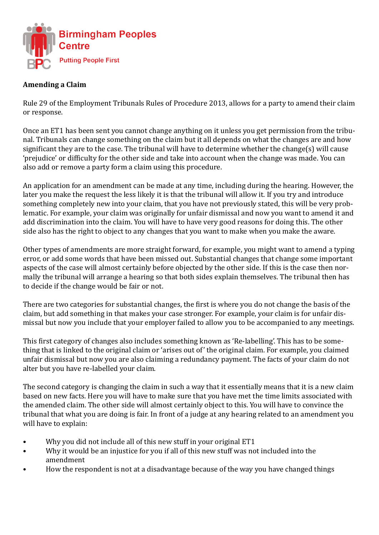

## **Amending a Claim**

Rule 29 of the Employment Tribunals Rules of Procedure 2013, allows for a party to amend their claim or response.

Once an ET1 has been sent you cannot change anything on it unless you get permission from the tribunal. Tribunals can change something on the claim but it all depends on what the changes are and how significant they are to the case. The tribunal will have to determine whether the change(s) will cause 'prejudice' or difficulty for the other side and take into account when the change was made. You can also add or remove a party form a claim using this procedure.

An application for an amendment can be made at any time, including during the hearing. However, the later you make the request the less likely it is that the tribunal will allow it. If you try and introduce something completely new into your claim, that you have not previously stated, this will be very problematic. For example, your claim was originally for unfair dismissal and now you want to amend it and add discrimination into the claim. You will have to have very good reasons for doing this. The other side also has the right to object to any changes that you want to make when you make the aware.

Other types of amendments are more straight forward, for example, you might want to amend a typing error, or add some words that have been missed out. Substantial changes that change some important aspects of the case will almost certainly before objected by the other side. If this is the case then normally the tribunal will arrange a hearing so that both sides explain themselves. The tribunal then has to decide if the change would be fair or not.

There are two categories for substantial changes, the first is where you do not change the basis of the claim, but add something in that makes your case stronger. For example, your claim is for unfair dismissal but now you include that your employer failed to allow you to be accompanied to any meetings.

This first category of changes also includes something known as 'Re-labelling'. This has to be something that is linked to the original claim or 'arises out of' the original claim. For example, you claimed unfair dismissal but now you are also claiming a redundancy payment. The facts of your claim do not alter but you have re-labelled your claim.

The second category is changing the claim in such a way that it essentially means that it is a new claim based on new facts. Here you will have to make sure that you have met the time limits associated with the amended claim. The other side will almost certainly object to this. You will have to convince the tribunal that what you are doing is fair. In front of a judge at any hearing related to an amendment you will have to explain:

- Why you did not include all of this new stuff in your original ET1
- Why it would be an injustice for you if all of this new stuff was not included into the amendment
- How the respondent is not at a disadvantage because of the way you have changed things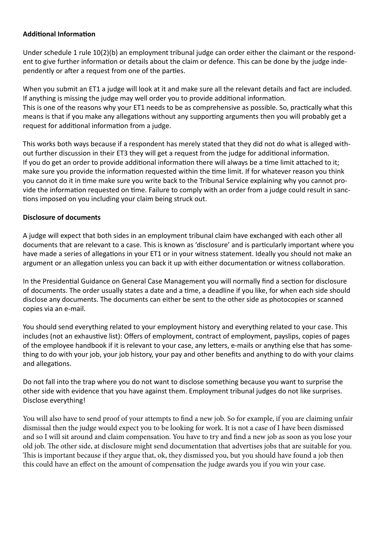## **Additional Information**

Under schedule 1 rule 10(2)(b) an employment tribunal judge can order either the claimant or the respondent to give further information or details about the claim or defence. This can be done by the judge independently or after a request from one of the parties.

When you submit an ET1 a judge will look at it and make sure all the relevant details and fact are included. If anything is missing the judge may well order you to provide additional information. This is one of the reasons why your ET1 needs to be as comprehensive as possible. So, practically what this means is that if you make any allegations without any supporting arguments then you will probably get a request for additional information from a judge.

This works both ways because if a respondent has merely stated that they did not do what is alleged without further discussion in their ET3 they will get a request from the judge for additional information. If you do get an order to provide additional information there will always be a time limit attached to it; make sure you provide the information requested within the time limit. If for whatever reason you think you cannot do it in time make sure you write back to the Tribunal Service explaining why you cannot provide the information requested on time. Failure to comply with an order from a judge could result in sanctions imposed on you including your claim being struck out.

## **Disclosure of documents**

A judge will expect that both sides in an employment tribunal claim have exchanged with each other all documents that are relevant to a case. This is known as 'disclosure' and is particularly important where you have made a series of allegations in your ET1 or in your witness statement. Ideally you should not make an argument or an allegation unless you can back it up with either documentation or witness collaboration.

In the Presidential Guidance on General Case Management you will normally find a section for disclosure of documents. The order usually states a date and a time, a deadline if you like, for when each side should disclose any documents. The documents can either be sent to the other side as photocopies or scanned copies via an e-mail.

You should send everything related to your employment history and everything related to your case. This includes (not an exhaustive list): Offers of employment, contract of employment, payslips, copies of pages of the employee handbook if it is relevant to your case, any letters, e-mails or anything else that has something to do with your job, your job history, your pay and other benefits and anything to do with your claims and allegations.

Do not fall into the trap where you do not want to disclose something because you want to surprise the other side with evidence that you have against them. Employment tribunal judges do not like surprises. Disclose everything!

You will also have to send proof of your attempts to find a new job. So for example, if you are claiming unfair dismissal then the judge would expect you to be looking for work. It is not a case of I have been dismissed and so I will sit around and claim compensation. You have to try and find a new job as soon as you lose your old job. The other side, at disclosure might send documentation that advertises jobs that are suitable for you. This is important because if they argue that, ok, they dismissed you, but you should have found a job then this could have an effect on the amount of compensation the judge awards you if you win your case.